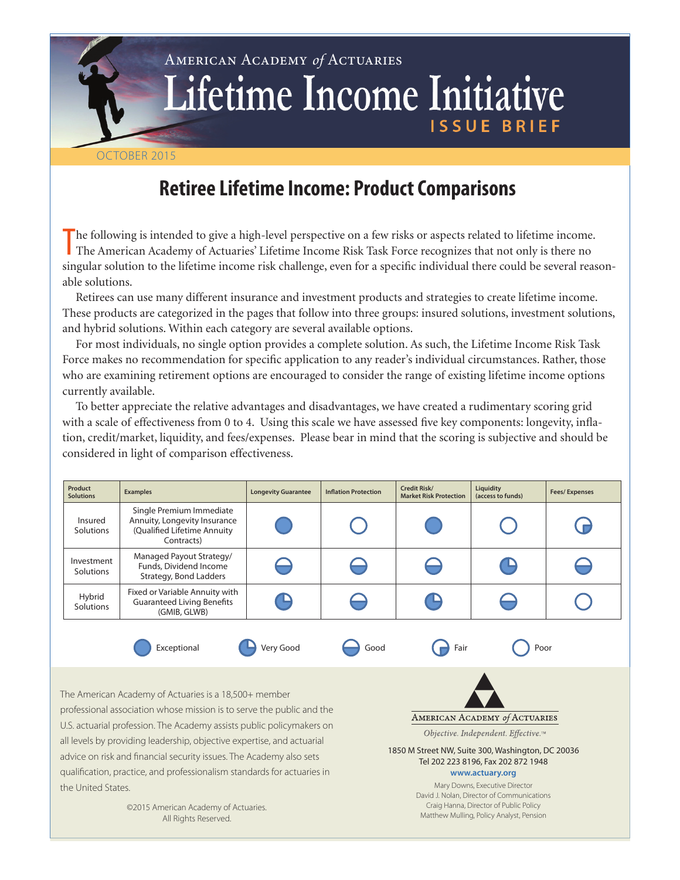# American Academy *of* Actuaries Lifetime Income Initiative ISSUE BRIEF

## October 2015

## **Retiree Lifetime Income: Product Comparisons**

The following is intended to give a high-level perspective on a few risks or aspects related to lifetime income<br>The American Academy of Actuaries' Lifetime Income Risk Task Force recognizes that not only is there no he following is intended to give a high-level perspective on a few risks or aspects related to lifetime income. singular solution to the lifetime income risk challenge, even for a specific individual there could be several reasonable solutions.

Retirees can use many different insurance and investment products and strategies to create lifetime income. These products are categorized in the pages that follow into three groups: insured solutions, investment solutions, and hybrid solutions. Within each category are several available options.

For most individuals, no single option provides a complete solution. As such, the Lifetime Income Risk Task Force makes no recommendation for specific application to any reader's individual circumstances. Rather, those who are examining retirement options are encouraged to consider the range of existing lifetime income options currently available.

To better appreciate the relative advantages and disadvantages, we have created a rudimentary scoring grid with a scale of effectiveness from 0 to 4. Using this scale we have assessed five key components: longevity, inflation, credit/market, liquidity, and fees/expenses. Please bear in mind that the scoring is subjective and should be considered in light of comparison effectiveness.

| Product<br><b>Solutions</b>                           | <b>Examples</b>                                                                                       | <b>Longevity Guarantee</b> | <b>Inflation Protection</b> | Credit Risk/<br><b>Market Risk Protection</b> | Liquidity<br>(access to funds) | <b>Fees/Expenses</b> |
|-------------------------------------------------------|-------------------------------------------------------------------------------------------------------|----------------------------|-----------------------------|-----------------------------------------------|--------------------------------|----------------------|
| Insured<br>Solutions                                  | Single Premium Immediate<br>Annuity, Longevity Insurance<br>(Qualified Lifetime Annuity<br>Contracts) |                            |                             |                                               |                                |                      |
| Investment<br>Solutions                               | Managed Payout Strategy/<br>Funds, Dividend Income<br>Strategy, Bond Ladders                          |                            |                             |                                               |                                |                      |
| Hybrid<br>Solutions                                   | Fixed or Variable Annuity with<br><b>Guaranteed Living Benefits</b><br>(GMIB, GLWB)                   | ٠                          |                             |                                               |                                |                      |
|                                                       | Exceptional                                                                                           | Very Good                  | Good                        | Fair                                          | Poor                           |                      |
| The American Academy of Actuaries is a 18,500+ member |                                                                                                       |                            |                             |                                               |                                |                      |

professional association whose mission is to serve the public and the U.S. actuarial profession. The Academy assists public policymakers on all levels by providing leadership, objective expertise, and actuarial advice on risk and financial security issues. The Academy also sets qualification, practice, and professionalism standards for actuaries in the United States.

AMERICAN ACADEMY of ACTUARIES Objective. Independent. Effective.™

1850 M Street NW, Suite 300, Washington, DC 20036 Tel 202 223 8196, Fax 202 872 1948 **www.actuary.org**

> Mary Downs, Executive Director David J. Nolan, Director of Communications Craig Hanna, Director of Public Policy Matthew Mulling, Policy Analyst, Pension

©2015 American Academy of Actuaries. All Rights Reserved.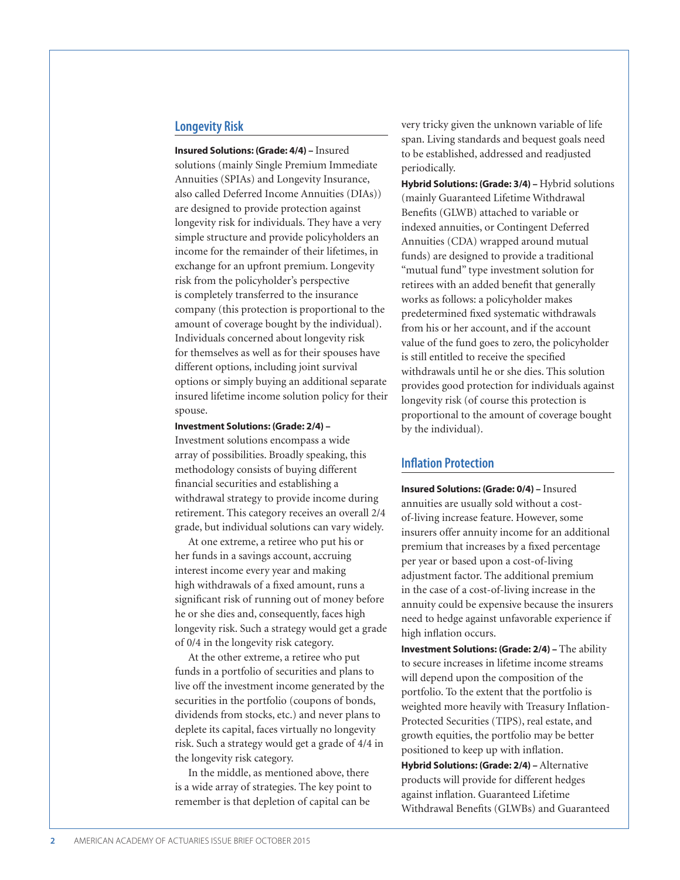### **Longevity Risk**

**Insured Solutions: (Grade: 4/4) –** Insured solutions (mainly Single Premium Immediate Annuities (SPIAs) and Longevity Insurance, also called Deferred Income Annuities (DIAs)) are designed to provide protection against longevity risk for individuals. They have a very simple structure and provide policyholders an income for the remainder of their lifetimes, in exchange for an upfront premium. Longevity risk from the policyholder's perspective is completely transferred to the insurance company (this protection is proportional to the amount of coverage bought by the individual). Individuals concerned about longevity risk for themselves as well as for their spouses have different options, including joint survival options or simply buying an additional separate insured lifetime income solution policy for their spouse.

#### **Investment Solutions: (Grade: 2/4) –**

Investment solutions encompass a wide array of possibilities. Broadly speaking, this methodology consists of buying different financial securities and establishing a withdrawal strategy to provide income during retirement. This category receives an overall 2/4 grade, but individual solutions can vary widely.

At one extreme, a retiree who put his or her funds in a savings account, accruing interest income every year and making high withdrawals of a fixed amount, runs a significant risk of running out of money before he or she dies and, consequently, faces high longevity risk. Such a strategy would get a grade of 0/4 in the longevity risk category.

At the other extreme, a retiree who put funds in a portfolio of securities and plans to live off the investment income generated by the securities in the portfolio (coupons of bonds, dividends from stocks, etc.) and never plans to deplete its capital, faces virtually no longevity risk. Such a strategy would get a grade of 4/4 in the longevity risk category.

In the middle, as mentioned above, there is a wide array of strategies. The key point to remember is that depletion of capital can be

very tricky given the unknown variable of life span. Living standards and bequest goals need to be established, addressed and readjusted periodically.

**Hybrid Solutions: (Grade: 3/4) –** Hybrid solutions (mainly Guaranteed Lifetime Withdrawal Benefits (GLWB) attached to variable or indexed annuities, or Contingent Deferred Annuities (CDA) wrapped around mutual funds) are designed to provide a traditional "mutual fund" type investment solution for retirees with an added benefit that generally works as follows: a policyholder makes predetermined fixed systematic withdrawals from his or her account, and if the account value of the fund goes to zero, the policyholder is still entitled to receive the specified withdrawals until he or she dies. This solution provides good protection for individuals against longevity risk (of course this protection is proportional to the amount of coverage bought by the individual).

## **Inflation Protection**

**Insured Solutions: (Grade: 0/4) –** Insured annuities are usually sold without a costof-living increase feature. However, some insurers offer annuity income for an additional premium that increases by a fixed percentage per year or based upon a cost-of-living adjustment factor. The additional premium in the case of a cost-of-living increase in the annuity could be expensive because the insurers need to hedge against unfavorable experience if high inflation occurs.

**Investment Solutions: (Grade: 2/4) - The ability** to secure increases in lifetime income streams will depend upon the composition of the portfolio. To the extent that the portfolio is weighted more heavily with Treasury Inflation-Protected Securities (TIPS), real estate, and growth equities, the portfolio may be better positioned to keep up with inflation.

**Hybrid Solutions: (Grade: 2/4) –** Alternative products will provide for different hedges against inflation. Guaranteed Lifetime Withdrawal Benefits (GLWBs) and Guaranteed